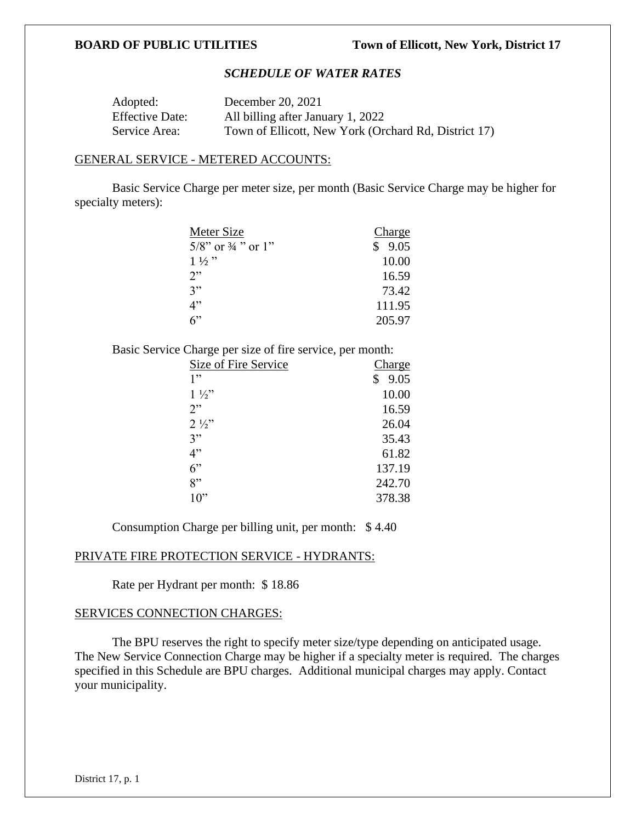# *SCHEDULE OF WATER RATES*

| Adopted:               | December 20, 2021                                    |
|------------------------|------------------------------------------------------|
| <b>Effective Date:</b> | All billing after January 1, 2022                    |
| Service Area:          | Town of Ellicott, New York (Orchard Rd, District 17) |

### GENERAL SERVICE - METERED ACCOUNTS:

Basic Service Charge per meter size, per month (Basic Service Charge may be higher for specialty meters):

| Meter Size                       | Charge |
|----------------------------------|--------|
| $5/8$ " or $\frac{3}{4}$ " or 1" | \$9.05 |
| $1\frac{1}{2}$                   | 10.00  |
| 2"                               | 16.59  |
| 3"                               | 73.42  |
| 4"                               | 111.95 |
| 6                                | 205.97 |

Basic Service Charge per size of fire service, per month:

| Size of Fire Service | Charge |
|----------------------|--------|
| 1"                   | 9.05   |
| $1\frac{1}{2}$       | 10.00  |
| 2"                   | 16.59  |
| $2\frac{1}{2}$       | 26.04  |
| 3"                   | 35.43  |
| 4"                   | 61.82  |
| 6"                   | 137.19 |
| 8"                   | 242.70 |
| $10$ "               | 378.38 |

Consumption Charge per billing unit, per month: \$ 4.40

### PRIVATE FIRE PROTECTION SERVICE - HYDRANTS:

Rate per Hydrant per month: \$ 18.86

# SERVICES CONNECTION CHARGES:

The BPU reserves the right to specify meter size/type depending on anticipated usage. The New Service Connection Charge may be higher if a specialty meter is required. The charges specified in this Schedule are BPU charges. Additional municipal charges may apply. Contact your municipality.